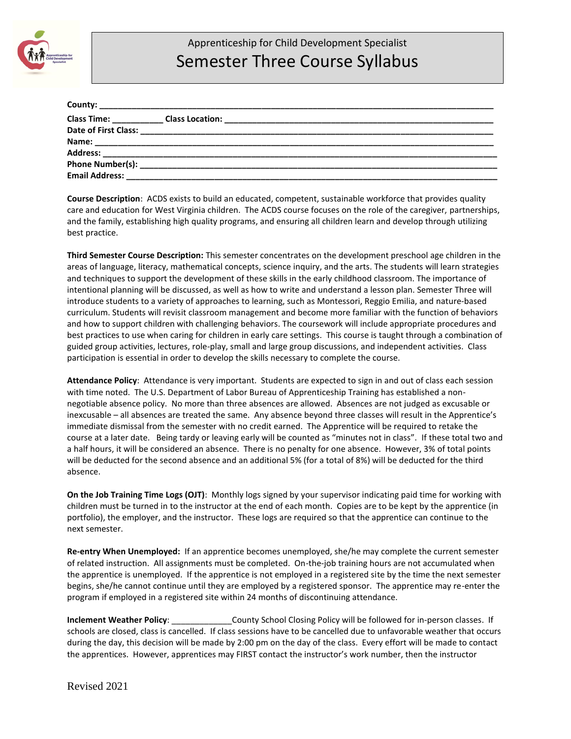

## Apprenticeship for Child Development Specialist Semester Three Course Syllabus

| <b>Email Address:</b> |  |
|-----------------------|--|

**Course Description**: ACDS exists to build an educated, competent, sustainable workforce that provides quality care and education for West Virginia children. The ACDS course focuses on the role of the caregiver, partnerships, and the family, establishing high quality programs, and ensuring all children learn and develop through utilizing best practice.

**Third Semester Course Description:** This semester concentrates on the development preschool age children in the areas of language, literacy, mathematical concepts, science inquiry, and the arts. The students will learn strategies and techniques to support the development of these skills in the early childhood classroom. The importance of intentional planning will be discussed, as well as how to write and understand a lesson plan. Semester Three will introduce students to a variety of approaches to learning, such as Montessori, Reggio Emilia, and nature-based curriculum. Students will revisit classroom management and become more familiar with the function of behaviors and how to support children with challenging behaviors. The coursework will include appropriate procedures and best practices to use when caring for children in early care settings. This course is taught through a combination of guided group activities, lectures, role-play, small and large group discussions, and independent activities. Class participation is essential in order to develop the skills necessary to complete the course.

**Attendance Policy**: Attendance is very important. Students are expected to sign in and out of class each session with time noted. The U.S. Department of Labor Bureau of Apprenticeship Training has established a nonnegotiable absence policy. No more than three absences are allowed. Absences are not judged as excusable or inexcusable – all absences are treated the same. Any absence beyond three classes will result in the Apprentice's immediate dismissal from the semester with no credit earned. The Apprentice will be required to retake the course at a later date. Being tardy or leaving early will be counted as "minutes not in class". If these total two and a half hours, it will be considered an absence. There is no penalty for one absence. However, 3% of total points will be deducted for the second absence and an additional 5% (for a total of 8%) will be deducted for the third absence.

**On the Job Training Time Logs (OJT)**: Monthly logs signed by your supervisor indicating paid time for working with children must be turned in to the instructor at the end of each month. Copies are to be kept by the apprentice (in portfolio), the employer, and the instructor. These logs are required so that the apprentice can continue to the next semester.

**Re-entry When Unemployed:** If an apprentice becomes unemployed, she/he may complete the current semester of related instruction. All assignments must be completed. On-the-job training hours are not accumulated when the apprentice is unemployed. If the apprentice is not employed in a registered site by the time the next semester begins, she/he cannot continue until they are employed by a registered sponsor. The apprentice may re-enter the program if employed in a registered site within 24 months of discontinuing attendance.

**Inclement Weather Policy: County School Closing Policy will be followed for in-person classes. If** schools are closed, class is cancelled. If class sessions have to be cancelled due to unfavorable weather that occurs during the day, this decision will be made by 2:00 pm on the day of the class. Every effort will be made to contact the apprentices. However, apprentices may FIRST contact the instructor's work number, then the instructor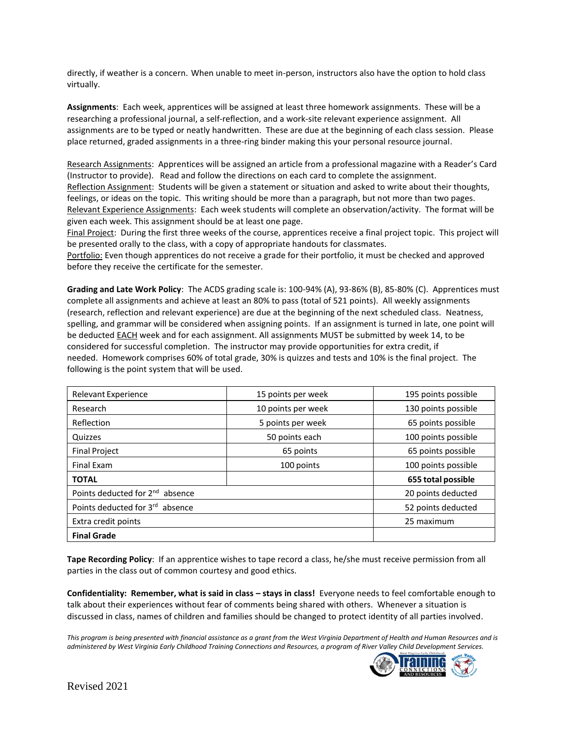directly, if weather is a concern. When unable to meet in-person, instructors also have the option to hold class virtually.

**Assignments**: Each week, apprentices will be assigned at least three homework assignments. These will be a researching a professional journal, a self-reflection, and a work-site relevant experience assignment. All assignments are to be typed or neatly handwritten. These are due at the beginning of each class session. Please place returned, graded assignments in a three-ring binder making this your personal resource journal.

Research Assignments: Apprentices will be assigned an article from a professional magazine with a Reader's Card (Instructor to provide). Read and follow the directions on each card to complete the assignment. Reflection Assignment: Students will be given a statement or situation and asked to write about their thoughts, feelings, or ideas on the topic. This writing should be more than a paragraph, but not more than two pages. Relevant Experience Assignments: Each week students will complete an observation/activity. The format will be given each week. This assignment should be at least one page.

Final Project: During the first three weeks of the course, apprentices receive a final project topic. This project will be presented orally to the class, with a copy of appropriate handouts for classmates.

Portfolio: Even though apprentices do not receive a grade for their portfolio, it must be checked and approved before they receive the certificate for the semester.

**Grading and Late Work Policy**: The ACDS grading scale is: 100-94% (A), 93-86% (B), 85-80% (C). Apprentices must complete all assignments and achieve at least an 80% to pass (total of 521 points). All weekly assignments (research, reflection and relevant experience) are due at the beginning of the next scheduled class. Neatness, spelling, and grammar will be considered when assigning points. If an assignment is turned in late, one point will be deducted EACH week and for each assignment. All assignments MUST be submitted by week 14, to be considered for successful completion. The instructor may provide opportunities for extra credit, if needed. Homework comprises 60% of total grade, 30% is quizzes and tests and 10% is the final project. The following is the point system that will be used.

| <b>Relevant Experience</b>                  | 15 points per week | 195 points possible |
|---------------------------------------------|--------------------|---------------------|
| Research                                    | 10 points per week | 130 points possible |
| Reflection                                  | 5 points per week  | 65 points possible  |
| Quizzes                                     | 50 points each     | 100 points possible |
| <b>Final Project</b>                        | 65 points          | 65 points possible  |
| <b>Final Exam</b>                           | 100 points         | 100 points possible |
| <b>TOTAL</b>                                |                    | 655 total possible  |
| Points deducted for 2 <sup>nd</sup> absence | 20 points deducted |                     |
| Points deducted for 3rd absence             | 52 points deducted |                     |
| Extra credit points                         | 25 maximum         |                     |
| <b>Final Grade</b>                          |                    |                     |

**Tape Recording Policy**: If an apprentice wishes to tape record a class, he/she must receive permission from all parties in the class out of common courtesy and good ethics.

**Confidentiality: Remember, what is said in class – stays in class!** Everyone needs to feel comfortable enough to talk about their experiences without fear of comments being shared with others. Whenever a situation is discussed in class, names of children and families should be changed to protect identity of all parties involved.

*This program is being presented with financial assistance as a grant from the West Virginia Department of Health and Human Resources and is administered by West Virginia Early Childhood Training Connections and Resources, a program of River Valley Child Development Services.*